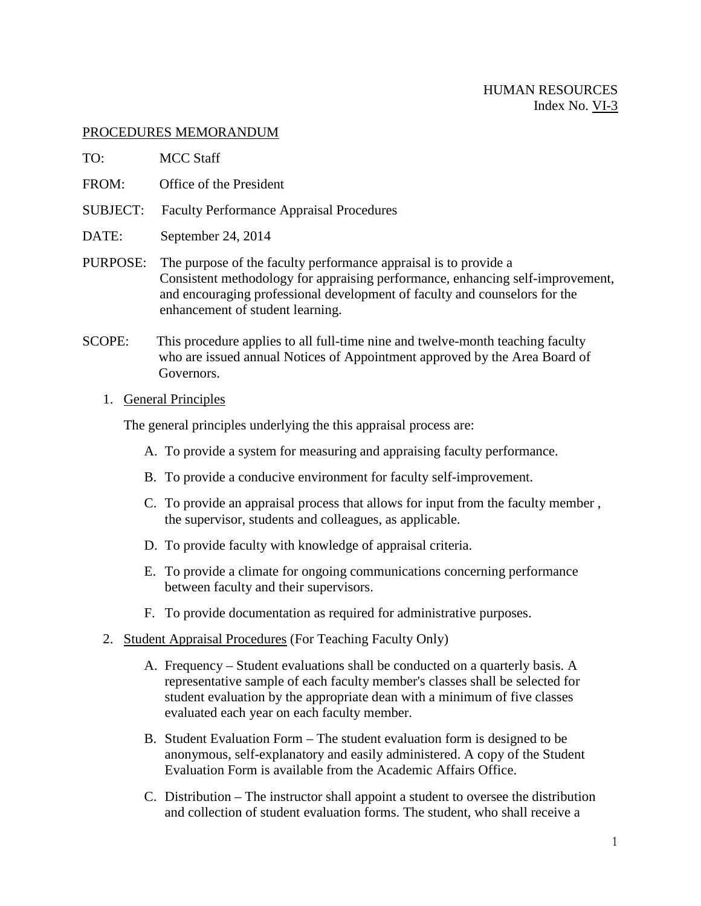## PROCEDURES MEMORANDUM

- TO: MCC Staff
- FROM: Office of the President
- SUBJECT: Faculty Performance Appraisal Procedures
- DATE: September 24, 2014
- PURPOSE: The purpose of the faculty performance appraisal is to provide a Consistent methodology for appraising performance, enhancing self-improvement, and encouraging professional development of faculty and counselors for the enhancement of student learning.
- SCOPE: This procedure applies to all full-time nine and twelve-month teaching faculty who are issued annual Notices of Appointment approved by the Area Board of Governors.

## 1. General Principles

The general principles underlying the this appraisal process are:

- A. To provide a system for measuring and appraising faculty performance.
- B. To provide a conducive environment for faculty self-improvement.
- C. To provide an appraisal process that allows for input from the faculty member , the supervisor, students and colleagues, as applicable.
- D. To provide faculty with knowledge of appraisal criteria.
- E. To provide a climate for ongoing communications concerning performance between faculty and their supervisors.
- F. To provide documentation as required for administrative purposes.
- 2. Student Appraisal Procedures (For Teaching Faculty Only)
	- A. Frequency Student evaluations shall be conducted on a quarterly basis. A representative sample of each faculty member's classes shall be selected for student evaluation by the appropriate dean with a minimum of five classes evaluated each year on each faculty member.
	- B. Student Evaluation Form The student evaluation form is designed to be anonymous, self-explanatory and easily administered. A copy of the Student Evaluation Form is available from the Academic Affairs Office.
	- C. Distribution The instructor shall appoint a student to oversee the distribution and collection of student evaluation forms. The student, who shall receive a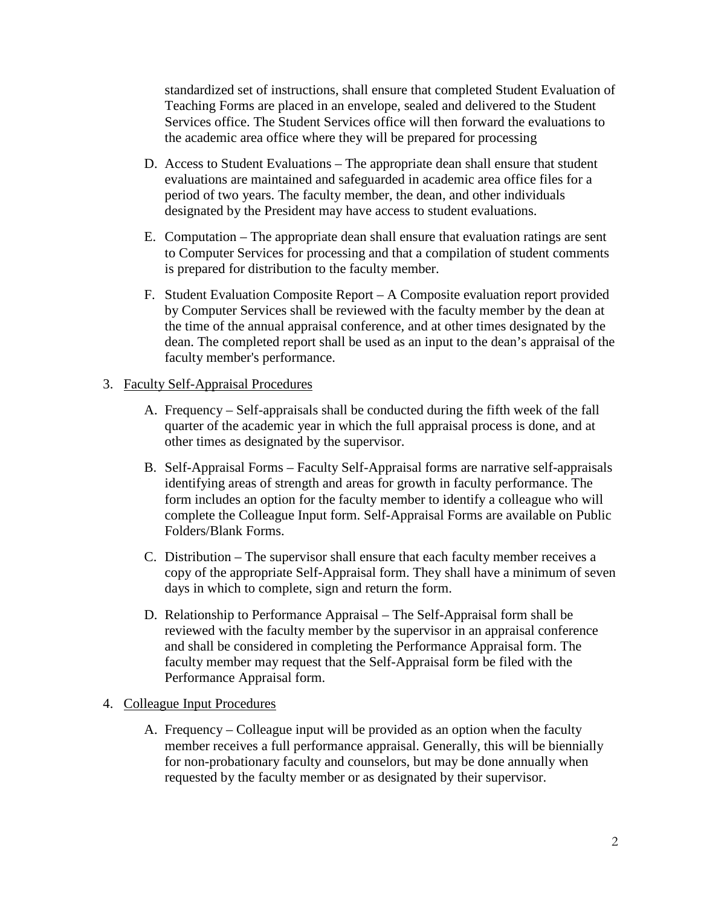standardized set of instructions, shall ensure that completed Student Evaluation of Teaching Forms are placed in an envelope, sealed and delivered to the Student Services office. The Student Services office will then forward the evaluations to the academic area office where they will be prepared for processing

- D. Access to Student Evaluations The appropriate dean shall ensure that student evaluations are maintained and safeguarded in academic area office files for a period of two years. The faculty member, the dean, and other individuals designated by the President may have access to student evaluations.
- E. Computation The appropriate dean shall ensure that evaluation ratings are sent to Computer Services for processing and that a compilation of student comments is prepared for distribution to the faculty member.
- F. Student Evaluation Composite Report A Composite evaluation report provided by Computer Services shall be reviewed with the faculty member by the dean at the time of the annual appraisal conference, and at other times designated by the dean. The completed report shall be used as an input to the dean's appraisal of the faculty member's performance.

## 3. Faculty Self-Appraisal Procedures

- A. Frequency Self-appraisals shall be conducted during the fifth week of the fall quarter of the academic year in which the full appraisal process is done, and at other times as designated by the supervisor.
- B. Self-Appraisal Forms Faculty Self-Appraisal forms are narrative self-appraisals identifying areas of strength and areas for growth in faculty performance. The form includes an option for the faculty member to identify a colleague who will complete the Colleague Input form. Self-Appraisal Forms are available on Public Folders/Blank Forms.
- C. Distribution The supervisor shall ensure that each faculty member receives a copy of the appropriate Self-Appraisal form. They shall have a minimum of seven days in which to complete, sign and return the form.
- D. Relationship to Performance Appraisal The Self-Appraisal form shall be reviewed with the faculty member by the supervisor in an appraisal conference and shall be considered in completing the Performance Appraisal form. The faculty member may request that the Self-Appraisal form be filed with the Performance Appraisal form.

## 4. Colleague Input Procedures

A. Frequency – Colleague input will be provided as an option when the faculty member receives a full performance appraisal. Generally, this will be biennially for non-probationary faculty and counselors, but may be done annually when requested by the faculty member or as designated by their supervisor.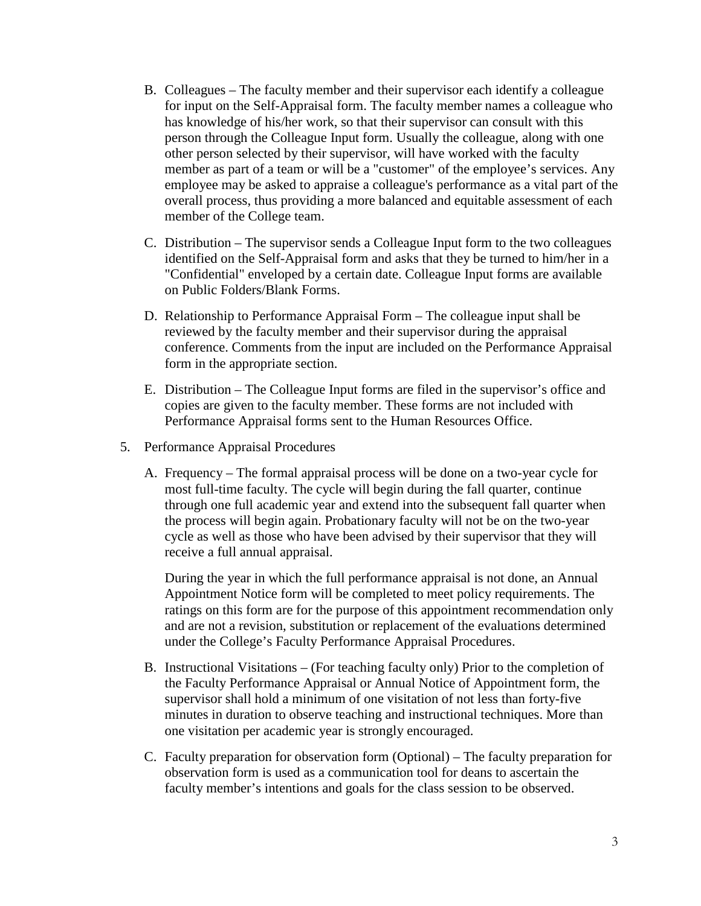- B. Colleagues The faculty member and their supervisor each identify a colleague for input on the Self-Appraisal form. The faculty member names a colleague who has knowledge of his/her work, so that their supervisor can consult with this person through the Colleague Input form. Usually the colleague, along with one other person selected by their supervisor, will have worked with the faculty member as part of a team or will be a "customer" of the employee's services. Any employee may be asked to appraise a colleague's performance as a vital part of the overall process, thus providing a more balanced and equitable assessment of each member of the College team.
- C. Distribution The supervisor sends a Colleague Input form to the two colleagues identified on the Self-Appraisal form and asks that they be turned to him/her in a "Confidential" enveloped by a certain date. Colleague Input forms are available on Public Folders/Blank Forms.
- D. Relationship to Performance Appraisal Form The colleague input shall be reviewed by the faculty member and their supervisor during the appraisal conference. Comments from the input are included on the Performance Appraisal form in the appropriate section.
- E. Distribution The Colleague Input forms are filed in the supervisor's office and copies are given to the faculty member. These forms are not included with Performance Appraisal forms sent to the Human Resources Office.
- 5. Performance Appraisal Procedures
	- A. Frequency The formal appraisal process will be done on a two-year cycle for most full-time faculty. The cycle will begin during the fall quarter, continue through one full academic year and extend into the subsequent fall quarter when the process will begin again. Probationary faculty will not be on the two-year cycle as well as those who have been advised by their supervisor that they will receive a full annual appraisal.

During the year in which the full performance appraisal is not done, an Annual Appointment Notice form will be completed to meet policy requirements. The ratings on this form are for the purpose of this appointment recommendation only and are not a revision, substitution or replacement of the evaluations determined under the College's Faculty Performance Appraisal Procedures.

- B. Instructional Visitations (For teaching faculty only) Prior to the completion of the Faculty Performance Appraisal or Annual Notice of Appointment form, the supervisor shall hold a minimum of one visitation of not less than forty-five minutes in duration to observe teaching and instructional techniques. More than one visitation per academic year is strongly encouraged.
- C. Faculty preparation for observation form (Optional) The faculty preparation for observation form is used as a communication tool for deans to ascertain the faculty member's intentions and goals for the class session to be observed.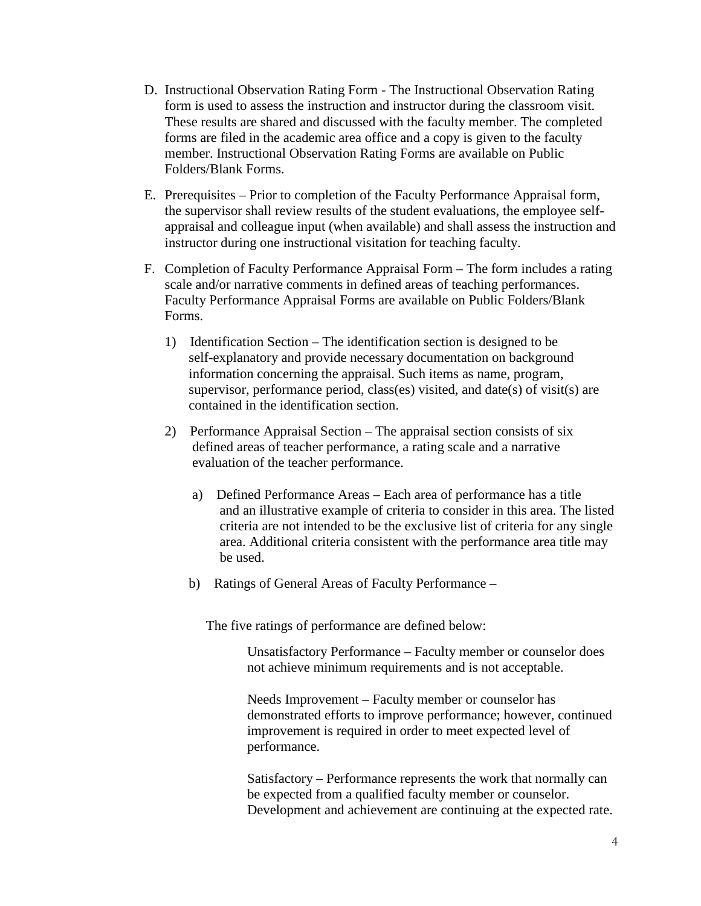- D. Instructional Observation Rating Form The Instructional Observation Rating form is used to assess the instruction and instructor during the classroom visit. These results are shared and discussed with the faculty member. The completed forms are filed in the academic area office and a copy is given to the faculty member. Instructional Observation Rating Forms are available on Public Folders/Blank Forms.
- E. Prerequisites Prior to completion of the Faculty Performance Appraisal form, the supervisor shall review results of the student evaluations, the employee selfappraisal and colleague input (when available) and shall assess the instruction and instructor during one instructional visitation for teaching faculty.
- F. Completion of Faculty Performance Appraisal Form The form includes a rating scale and/or narrative comments in defined areas of teaching performances. Faculty Performance Appraisal Forms are available on Public Folders/Blank Forms.
	- 1) Identification Section The identification section is designed to be self-explanatory and provide necessary documentation on background information concerning the appraisal. Such items as name, program, supervisor, performance period, class(es) visited, and date(s) of visit(s) are contained in the identification section.
	- 2) Performance Appraisal Section The appraisal section consists of six defined areas of teacher performance, a rating scale and a narrative evaluation of the teacher performance.
		- a) Defined Performance Areas Each area of performance has a title and an illustrative example of criteria to consider in this area. The listed criteria are not intended to be the exclusive list of criteria for any single area. Additional criteria consistent with the performance area title may be used.
		- b) Ratings of General Areas of Faculty Performance –

The five ratings of performance are defined below:

Unsatisfactory Performance – Faculty member or counselor does not achieve minimum requirements and is not acceptable.

Needs Improvement – Faculty member or counselor has demonstrated efforts to improve performance; however, continued improvement is required in order to meet expected level of performance.

Satisfactory – Performance represents the work that normally can be expected from a qualified faculty member or counselor. Development and achievement are continuing at the expected rate.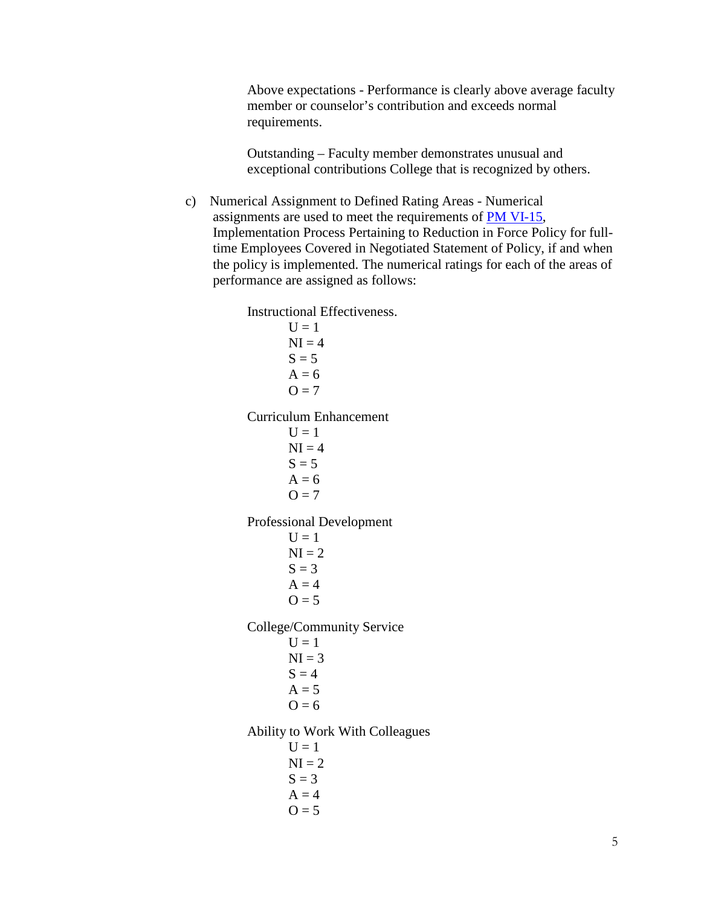Above expectations - Performance is clearly above average faculty member or counselor's contribution and exceeds normal requirements.

Outstanding – Faculty member demonstrates unusual and exceptional contributions College that is recognized by others.

c) Numerical Assignment to Defined Rating Areas - Numerical assignments are used to meet the requirements of [PM VI-15,](http://www.mccneb.edu/procedures/VI-15_Reduction_in_Force.htm) Implementation Process Pertaining to Reduction in Force Policy for fulltime Employees Covered in Negotiated Statement of Policy, if and when the policy is implemented. The numerical ratings for each of the areas of performance are assigned as follows:

> Instructional Effectiveness.  $U = 1$  $NI = 4$  $S = 5$  $A = 6$  $Q = 7$ Curriculum Enhancement  $U = 1$  $NI = 4$  $S = 5$  $A = 6$  $Q = 7$ Professional Development  $U = 1$  $NI = 2$  $S = 3$  $A = 4$  $Q = 5$ College/Community Service  $U = 1$  $NI = 3$  $S = 4$  $A = 5$  $O = 6$ Ability to Work With Colleagues  $U = 1$  $NI = 2$  $S = 3$  $A = 4$  $Q = 5$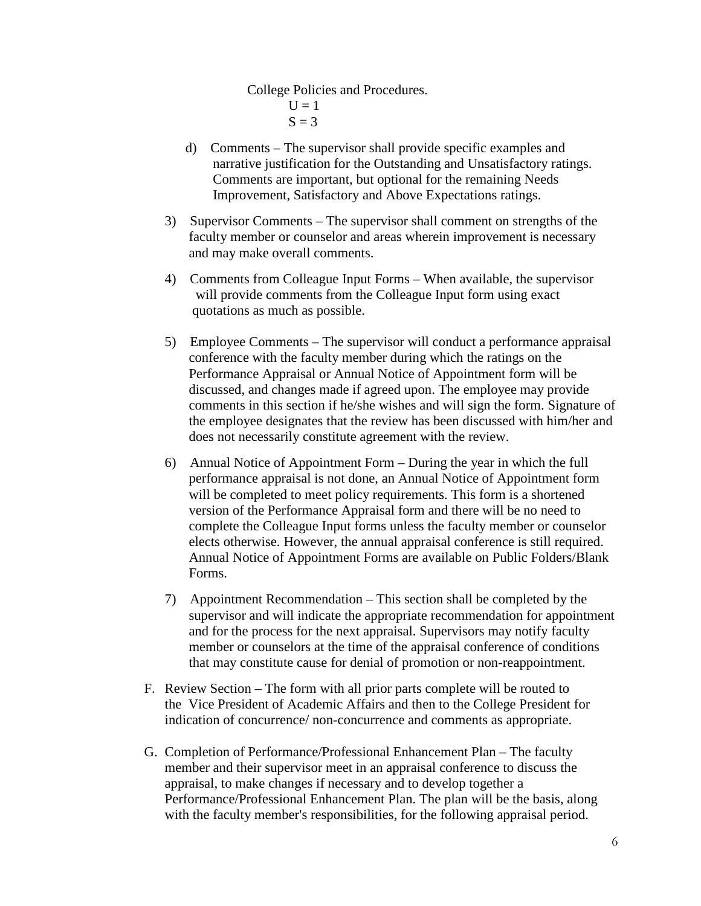College Policies and Procedures.

 $U = 1$  $S = 3$ 

- d) Comments The supervisor shall provide specific examples and narrative justification for the Outstanding and Unsatisfactory ratings. Comments are important, but optional for the remaining Needs Improvement, Satisfactory and Above Expectations ratings.
- 3) Supervisor Comments The supervisor shall comment on strengths of the faculty member or counselor and areas wherein improvement is necessary and may make overall comments.
- 4) Comments from Colleague Input Forms When available, the supervisor will provide comments from the Colleague Input form using exact quotations as much as possible.
- 5) Employee Comments The supervisor will conduct a performance appraisal conference with the faculty member during which the ratings on the Performance Appraisal or Annual Notice of Appointment form will be discussed, and changes made if agreed upon. The employee may provide comments in this section if he/she wishes and will sign the form. Signature of the employee designates that the review has been discussed with him/her and does not necessarily constitute agreement with the review.
- 6) Annual Notice of Appointment Form During the year in which the full performance appraisal is not done, an Annual Notice of Appointment form will be completed to meet policy requirements. This form is a shortened version of the Performance Appraisal form and there will be no need to complete the Colleague Input forms unless the faculty member or counselor elects otherwise. However, the annual appraisal conference is still required. Annual Notice of Appointment Forms are available on Public Folders/Blank Forms.
- 7) Appointment Recommendation This section shall be completed by the supervisor and will indicate the appropriate recommendation for appointment and for the process for the next appraisal. Supervisors may notify faculty member or counselors at the time of the appraisal conference of conditions that may constitute cause for denial of promotion or non-reappointment.
- F. Review Section The form with all prior parts complete will be routed to the Vice President of Academic Affairs and then to the College President for indication of concurrence/ non-concurrence and comments as appropriate.
- G. Completion of Performance/Professional Enhancement Plan The faculty member and their supervisor meet in an appraisal conference to discuss the appraisal, to make changes if necessary and to develop together a Performance/Professional Enhancement Plan. The plan will be the basis, along with the faculty member's responsibilities, for the following appraisal period.